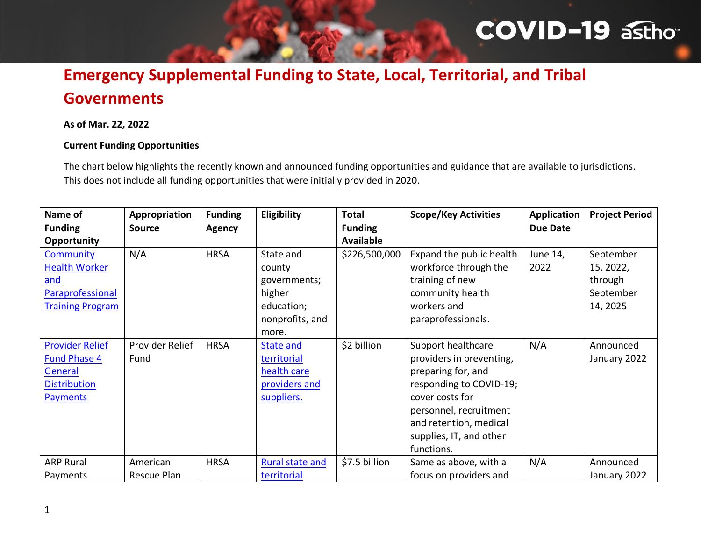# **COVID-19 asthor**

## **Emergency Supplemental Funding to State, Local, Territorial, and Tribal Governments**

#### **As of Mar. 22, 2022**

#### **Current Funding Opportunities**

The chart below highlights the recently known and announced funding opportunities and guidance that are available to jurisdictions. This does not include all funding opportunities that were initially provided in 2020.

| Name of<br><b>Funding</b><br>Opportunity                                                           | Appropriation<br><b>Source</b> | <b>Funding</b><br><b>Agency</b> | Eligibility                                                                             | <b>Total</b><br><b>Funding</b><br><b>Available</b> | <b>Scope/Key Activities</b>                                                                                                                                                                                     | <b>Application</b><br>Due Date | <b>Project Period</b>                                      |
|----------------------------------------------------------------------------------------------------|--------------------------------|---------------------------------|-----------------------------------------------------------------------------------------|----------------------------------------------------|-----------------------------------------------------------------------------------------------------------------------------------------------------------------------------------------------------------------|--------------------------------|------------------------------------------------------------|
| Community<br><b>Health Worker</b><br>and<br>Paraprofessional<br><b>Training Program</b>            | N/A                            | <b>HRSA</b>                     | State and<br>county<br>governments;<br>higher<br>education;<br>nonprofits, and<br>more. | \$226,500,000                                      | Expand the public health<br>workforce through the<br>training of new<br>community health<br>workers and<br>paraprofessionals.                                                                                   | June 14,<br>2022               | September<br>15, 2022,<br>through<br>September<br>14, 2025 |
| <b>Provider Relief</b><br><b>Fund Phase 4</b><br>General<br><b>Distribution</b><br><b>Payments</b> | Provider Relief<br>Fund        | <b>HRSA</b>                     | <b>State and</b><br>territorial<br>health care<br>providers and<br>suppliers.           | \$2 billion                                        | Support healthcare<br>providers in preventing,<br>preparing for, and<br>responding to COVID-19;<br>cover costs for<br>personnel, recruitment<br>and retention, medical<br>supplies, IT, and other<br>functions. | N/A                            | Announced<br>January 2022                                  |
| <b>ARP Rural</b><br>Payments                                                                       | American<br>Rescue Plan        | <b>HRSA</b>                     | <b>Rural state and</b><br>territorial                                                   | \$7.5 billion                                      | Same as above, with a<br>focus on providers and                                                                                                                                                                 | N/A                            | Announced<br>January 2022                                  |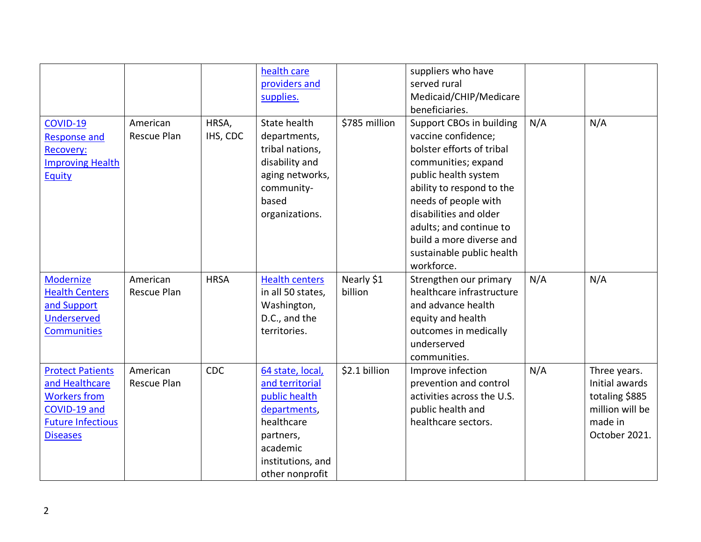|                          |             |             | health care           |               | suppliers who have         |     |                 |
|--------------------------|-------------|-------------|-----------------------|---------------|----------------------------|-----|-----------------|
|                          |             |             | providers and         |               | served rural               |     |                 |
|                          |             |             | supplies.             |               | Medicaid/CHIP/Medicare     |     |                 |
|                          |             |             |                       |               | beneficiaries.             |     |                 |
| COVID-19                 | American    | HRSA,       | State health          | \$785 million | Support CBOs in building   | N/A | N/A             |
| <b>Response and</b>      | Rescue Plan | IHS, CDC    | departments,          |               | vaccine confidence;        |     |                 |
| Recovery:                |             |             | tribal nations,       |               | bolster efforts of tribal  |     |                 |
| <b>Improving Health</b>  |             |             | disability and        |               | communities; expand        |     |                 |
| Equity                   |             |             | aging networks,       |               | public health system       |     |                 |
|                          |             |             | community-            |               | ability to respond to the  |     |                 |
|                          |             |             | based                 |               | needs of people with       |     |                 |
|                          |             |             | organizations.        |               | disabilities and older     |     |                 |
|                          |             |             |                       |               | adults; and continue to    |     |                 |
|                          |             |             |                       |               | build a more diverse and   |     |                 |
|                          |             |             |                       |               | sustainable public health  |     |                 |
|                          |             |             |                       |               | workforce.                 |     |                 |
| Modernize                | American    | <b>HRSA</b> | <b>Health centers</b> | Nearly \$1    | Strengthen our primary     | N/A | N/A             |
| <b>Health Centers</b>    | Rescue Plan |             | in all 50 states,     | billion       | healthcare infrastructure  |     |                 |
| and Support              |             |             | Washington,           |               | and advance health         |     |                 |
| <b>Underserved</b>       |             |             | D.C., and the         |               | equity and health          |     |                 |
| <b>Communities</b>       |             |             | territories.          |               | outcomes in medically      |     |                 |
|                          |             |             |                       |               | underserved                |     |                 |
|                          |             |             |                       |               | communities.               |     |                 |
| <b>Protect Patients</b>  | American    | CDC         | 64 state, local,      | \$2.1 billion | Improve infection          | N/A | Three years.    |
| and Healthcare           | Rescue Plan |             | and territorial       |               | prevention and control     |     | Initial awards  |
| <b>Workers from</b>      |             |             | public health         |               | activities across the U.S. |     | totaling \$885  |
| COVID-19 and             |             |             | departments,          |               | public health and          |     | million will be |
| <b>Future Infectious</b> |             |             | healthcare            |               | healthcare sectors.        |     | made in         |
| <b>Diseases</b>          |             |             | partners,             |               |                            |     | October 2021.   |
|                          |             |             | academic              |               |                            |     |                 |
|                          |             |             | institutions, and     |               |                            |     |                 |
|                          |             |             | other nonprofit       |               |                            |     |                 |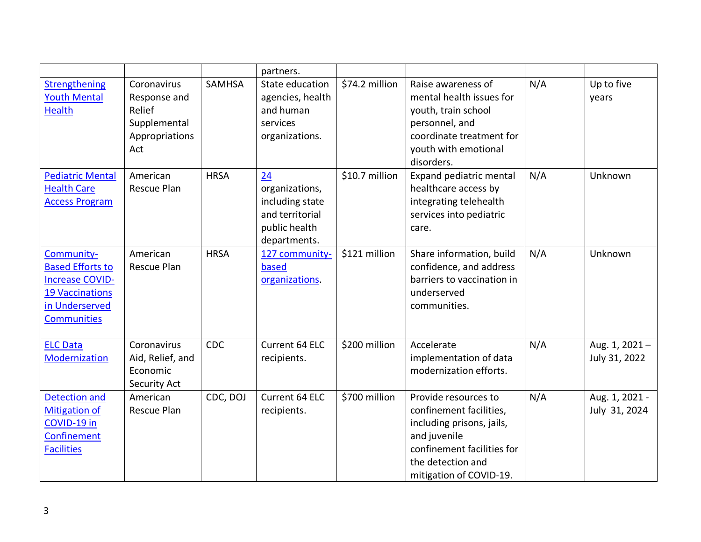|                                                                                                                                   |                                                                                |               | partners.                                                                                   |                |                                                                                                                                                                            |     |                                 |
|-----------------------------------------------------------------------------------------------------------------------------------|--------------------------------------------------------------------------------|---------------|---------------------------------------------------------------------------------------------|----------------|----------------------------------------------------------------------------------------------------------------------------------------------------------------------------|-----|---------------------------------|
| Strengthening<br><b>Youth Mental</b><br><b>Health</b>                                                                             | Coronavirus<br>Response and<br>Relief<br>Supplemental<br>Appropriations<br>Act | <b>SAMHSA</b> | State education<br>agencies, health<br>and human<br>services<br>organizations.              | \$74.2 million | Raise awareness of<br>mental health issues for<br>youth, train school<br>personnel, and<br>coordinate treatment for<br>youth with emotional<br>disorders.                  | N/A | Up to five<br>years             |
| <b>Pediatric Mental</b><br><b>Health Care</b><br><b>Access Program</b>                                                            | American<br>Rescue Plan                                                        | <b>HRSA</b>   | 24<br>organizations,<br>including state<br>and territorial<br>public health<br>departments. | \$10.7 million | Expand pediatric mental<br>healthcare access by<br>integrating telehealth<br>services into pediatric<br>care.                                                              | N/A | Unknown                         |
| Community-<br><b>Based Efforts to</b><br><b>Increase COVID-</b><br><b>19 Vaccinations</b><br>in Underserved<br><b>Communities</b> | American<br>Rescue Plan                                                        | <b>HRSA</b>   | 127 community-<br>based<br>organizations.                                                   | \$121 million  | Share information, build<br>confidence, and address<br>barriers to vaccination in<br>underserved<br>communities.                                                           | N/A | Unknown                         |
| <b>ELC Data</b><br>Modernization                                                                                                  | Coronavirus<br>Aid, Relief, and<br>Economic<br>Security Act                    | <b>CDC</b>    | Current 64 ELC<br>recipients.                                                               | \$200 million  | Accelerate<br>implementation of data<br>modernization efforts.                                                                                                             | N/A | Aug. 1, 2021-<br>July 31, 2022  |
| <b>Detection and</b><br><b>Mitigation of</b><br>COVID-19 in<br>Confinement<br><b>Facilities</b>                                   | American<br>Rescue Plan                                                        | CDC, DOJ      | Current 64 ELC<br>recipients.                                                               | \$700 million  | Provide resources to<br>confinement facilities,<br>including prisons, jails,<br>and juvenile<br>confinement facilities for<br>the detection and<br>mitigation of COVID-19. | N/A | Aug. 1, 2021 -<br>July 31, 2024 |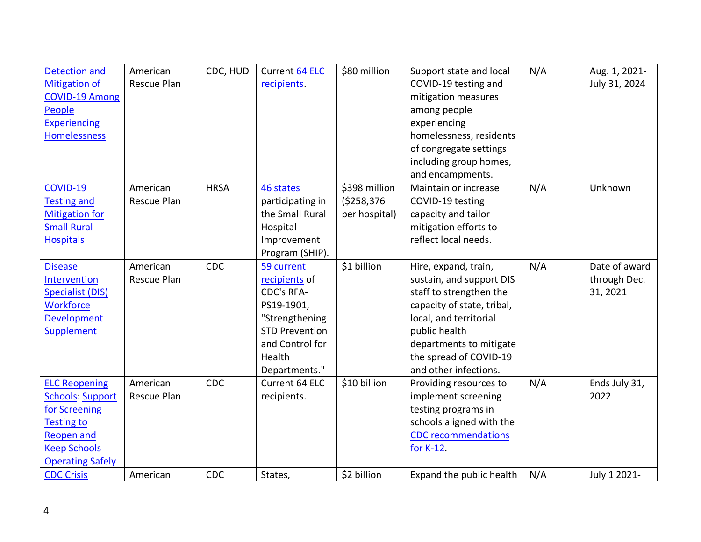| <b>Detection and</b>    | American    | CDC, HUD    | <b>Current 64 ELC</b> | \$80 million  | Support state and local    | N/A | Aug. 1, 2021- |
|-------------------------|-------------|-------------|-----------------------|---------------|----------------------------|-----|---------------|
| <b>Mitigation of</b>    | Rescue Plan |             | recipients.           |               | COVID-19 testing and       |     | July 31, 2024 |
| <b>COVID-19 Among</b>   |             |             |                       |               | mitigation measures        |     |               |
| People                  |             |             |                       |               | among people               |     |               |
| <b>Experiencing</b>     |             |             |                       |               | experiencing               |     |               |
| <b>Homelessness</b>     |             |             |                       |               | homelessness, residents    |     |               |
|                         |             |             |                       |               | of congregate settings     |     |               |
|                         |             |             |                       |               | including group homes,     |     |               |
|                         |             |             |                       |               | and encampments.           |     |               |
| COVID-19                | American    | <b>HRSA</b> | 46 states             | \$398 million | Maintain or increase       | N/A | Unknown       |
| <b>Testing and</b>      | Rescue Plan |             | participating in      | ( \$258, 376  | COVID-19 testing           |     |               |
| <b>Mitigation for</b>   |             |             | the Small Rural       | per hospital) | capacity and tailor        |     |               |
| <b>Small Rural</b>      |             |             | Hospital              |               | mitigation efforts to      |     |               |
| <b>Hospitals</b>        |             |             | Improvement           |               | reflect local needs.       |     |               |
|                         |             |             | Program (SHIP).       |               |                            |     |               |
| <b>Disease</b>          | American    | <b>CDC</b>  | 59 current            | \$1 billion   | Hire, expand, train,       | N/A | Date of award |
| Intervention            | Rescue Plan |             | recipients of         |               | sustain, and support DIS   |     | through Dec.  |
| <b>Specialist (DIS)</b> |             |             | <b>CDC's RFA-</b>     |               | staff to strengthen the    |     | 31, 2021      |
| <b>Workforce</b>        |             |             | PS19-1901,            |               | capacity of state, tribal, |     |               |
| <b>Development</b>      |             |             | "Strengthening        |               | local, and territorial     |     |               |
| Supplement              |             |             | <b>STD Prevention</b> |               | public health              |     |               |
|                         |             |             | and Control for       |               | departments to mitigate    |     |               |
|                         |             |             | Health                |               | the spread of COVID-19     |     |               |
|                         |             |             | Departments."         |               | and other infections.      |     |               |
| <b>ELC Reopening</b>    | American    | <b>CDC</b>  | Current 64 ELC        | \$10 billion  | Providing resources to     | N/A | Ends July 31, |
| <b>Schools: Support</b> | Rescue Plan |             | recipients.           |               | implement screening        |     | 2022          |
| for Screening           |             |             |                       |               | testing programs in        |     |               |
| <b>Testing to</b>       |             |             |                       |               | schools aligned with the   |     |               |
| <b>Reopen and</b>       |             |             |                       |               | <b>CDC</b> recommendations |     |               |
| <b>Keep Schools</b>     |             |             |                       |               | for K-12.                  |     |               |
| <b>Operating Safely</b> |             |             |                       |               |                            |     |               |
| <b>CDC Crisis</b>       | American    | <b>CDC</b>  | States,               | \$2 billion   | Expand the public health   | N/A | July 1 2021-  |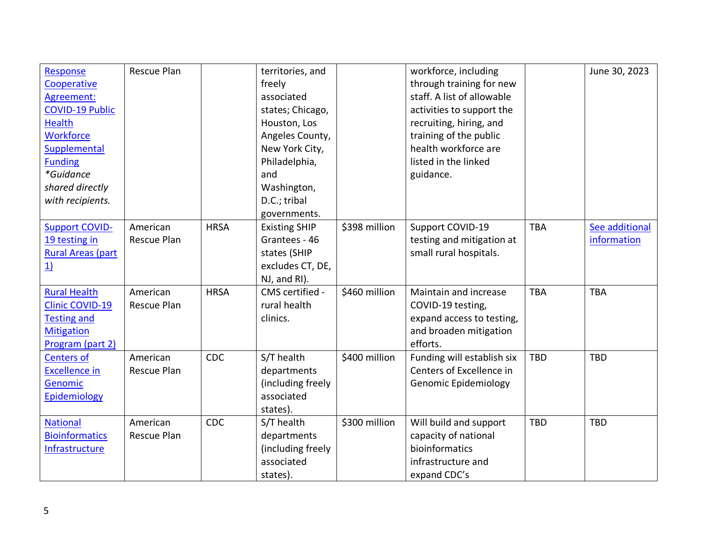| Response                 | Rescue Plan |             | territories, and     |               | workforce, including        |            | June 30, 2023  |
|--------------------------|-------------|-------------|----------------------|---------------|-----------------------------|------------|----------------|
| Cooperative              |             |             | freely               |               | through training for new    |            |                |
| Agreement:               |             |             | associated           |               | staff. A list of allowable  |            |                |
| <b>COVID-19 Public</b>   |             |             | states; Chicago,     |               | activities to support the   |            |                |
| <b>Health</b>            |             |             | Houston, Los         |               | recruiting, hiring, and     |            |                |
| <b>Workforce</b>         |             |             | Angeles County,      |               | training of the public      |            |                |
| Supplemental             |             |             | New York City,       |               | health workforce are        |            |                |
| <b>Funding</b>           |             |             | Philadelphia,        |               | listed in the linked        |            |                |
| *Guidance                |             |             | and                  |               | guidance.                   |            |                |
| shared directly          |             |             | Washington,          |               |                             |            |                |
| with recipients.         |             |             | D.C.; tribal         |               |                             |            |                |
|                          |             |             | governments.         |               |                             |            |                |
| <b>Support COVID-</b>    | American    | <b>HRSA</b> | <b>Existing SHIP</b> | \$398 million | Support COVID-19            | <b>TBA</b> | See additional |
| 19 testing in            | Rescue Plan |             | Grantees - 46        |               | testing and mitigation at   |            | information    |
| <b>Rural Areas (part</b> |             |             | states (SHIP         |               | small rural hospitals.      |            |                |
| 1)                       |             |             | excludes CT, DE,     |               |                             |            |                |
|                          |             |             | NJ, and RI).         |               |                             |            |                |
| <b>Rural Health</b>      | American    | <b>HRSA</b> | CMS certified -      | \$460 million | Maintain and increase       | <b>TBA</b> | <b>TBA</b>     |
| <b>Clinic COVID-19</b>   | Rescue Plan |             | rural health         |               | COVID-19 testing,           |            |                |
| <b>Testing and</b>       |             |             | clinics.             |               | expand access to testing,   |            |                |
| <b>Mitigation</b>        |             |             |                      |               | and broaden mitigation      |            |                |
| Program (part 2)         |             |             |                      |               | efforts.                    |            |                |
| <b>Centers of</b>        | American    | CDC         | S/T health           | \$400 million | Funding will establish six  | <b>TBD</b> | <b>TBD</b>     |
| <b>Excellence in</b>     | Rescue Plan |             | departments          |               | Centers of Excellence in    |            |                |
| Genomic                  |             |             | (including freely    |               | <b>Genomic Epidemiology</b> |            |                |
| Epidemiology             |             |             | associated           |               |                             |            |                |
|                          |             |             | states).             |               |                             |            |                |
| <b>National</b>          | American    | CDC         | S/T health           | \$300 million | Will build and support      | <b>TBD</b> | <b>TBD</b>     |
| <b>Bioinformatics</b>    | Rescue Plan |             | departments          |               | capacity of national        |            |                |
| Infrastructure           |             |             | (including freely    |               | bioinformatics              |            |                |
|                          |             |             | associated           |               | infrastructure and          |            |                |
|                          |             |             | states).             |               | expand CDC's                |            |                |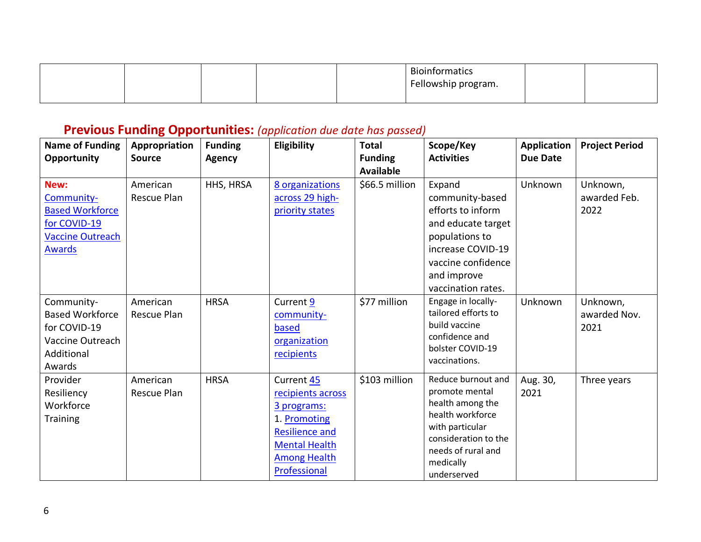|  |  | Bioinformatics      |  |
|--|--|---------------------|--|
|  |  | Fellowship program. |  |
|  |  |                     |  |

### **Previous Funding Opportunities:** *(application due date has passed)*

| <b>Name of Funding</b><br>Opportunity                                                                    | Appropriation<br><b>Source</b> | <b>Funding</b><br><b>Agency</b> | Eligibility                                                                                                                                            | <b>Total</b><br><b>Funding</b><br><b>Available</b> | Scope/Key<br><b>Activities</b>                                                                                                                                            | <b>Application</b><br><b>Due Date</b> | <b>Project Period</b>            |
|----------------------------------------------------------------------------------------------------------|--------------------------------|---------------------------------|--------------------------------------------------------------------------------------------------------------------------------------------------------|----------------------------------------------------|---------------------------------------------------------------------------------------------------------------------------------------------------------------------------|---------------------------------------|----------------------------------|
| New:<br>Community-<br><b>Based Workforce</b><br>for COVID-19<br><b>Vaccine Outreach</b><br><b>Awards</b> | American<br>Rescue Plan        | HHS, HRSA                       | 8 organizations<br>across 29 high-<br>priority states                                                                                                  | \$66.5 million                                     | Expand<br>community-based<br>efforts to inform<br>and educate target<br>populations to<br>increase COVID-19<br>vaccine confidence<br>and improve<br>vaccination rates.    | Unknown                               | Unknown,<br>awarded Feb.<br>2022 |
| Community-<br><b>Based Workforce</b><br>for COVID-19<br>Vaccine Outreach<br>Additional<br>Awards         | American<br><b>Rescue Plan</b> | <b>HRSA</b>                     | Current 9<br>community-<br>based<br>organization<br>recipients                                                                                         | \$77 million                                       | Engage in locally-<br>tailored efforts to<br>build vaccine<br>confidence and<br>bolster COVID-19<br>vaccinations.                                                         | Unknown                               | Unknown,<br>awarded Nov.<br>2021 |
| Provider<br>Resiliency<br>Workforce<br>Training                                                          | American<br><b>Rescue Plan</b> | <b>HRSA</b>                     | Current 45<br>recipients across<br>3 programs:<br>1. Promoting<br><b>Resilience and</b><br><b>Mental Health</b><br><b>Among Health</b><br>Professional | \$103 million                                      | Reduce burnout and<br>promote mental<br>health among the<br>health workforce<br>with particular<br>consideration to the<br>needs of rural and<br>medically<br>underserved | Aug. 30,<br>2021                      | Three years                      |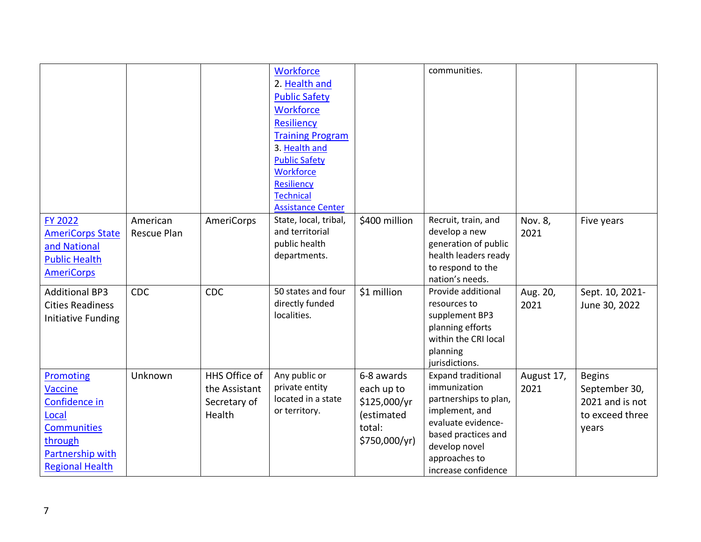|                                                                                                                               |                         |                                                          | Workforce<br>2. Health and<br><b>Public Safety</b><br>Workforce<br><b>Resiliency</b><br><b>Training Program</b><br>3. Health and<br><b>Public Safety</b><br>Workforce<br><b>Resiliency</b><br><b>Technical</b><br><b>Assistance Center</b> |                                                                                   | communities.                                                                                                                                                                               |                    |                                                                               |
|-------------------------------------------------------------------------------------------------------------------------------|-------------------------|----------------------------------------------------------|--------------------------------------------------------------------------------------------------------------------------------------------------------------------------------------------------------------------------------------------|-----------------------------------------------------------------------------------|--------------------------------------------------------------------------------------------------------------------------------------------------------------------------------------------|--------------------|-------------------------------------------------------------------------------|
| FY 2022<br><b>AmeriCorps State</b><br>and National<br><b>Public Health</b><br><b>AmeriCorps</b>                               | American<br>Rescue Plan | AmeriCorps                                               | State, local, tribal,<br>and territorial<br>public health<br>departments.                                                                                                                                                                  | \$400 million                                                                     | Recruit, train, and<br>develop a new<br>generation of public<br>health leaders ready<br>to respond to the<br>nation's needs.                                                               | Nov. 8,<br>2021    | Five years                                                                    |
| <b>Additional BP3</b><br><b>Cities Readiness</b><br>Initiative Funding                                                        | CDC                     | <b>CDC</b>                                               | 50 states and four<br>directly funded<br>localities.                                                                                                                                                                                       | \$1 million                                                                       | Provide additional<br>resources to<br>supplement BP3<br>planning efforts<br>within the CRI local<br>planning<br>jurisdictions.                                                             | Aug. 20,<br>2021   | Sept. 10, 2021-<br>June 30, 2022                                              |
| Promoting<br>Vaccine<br>Confidence in<br>Local<br><b>Communities</b><br>through<br>Partnership with<br><b>Regional Health</b> | Unknown                 | HHS Office of<br>the Assistant<br>Secretary of<br>Health | Any public or<br>private entity<br>located in a state<br>or territory.                                                                                                                                                                     | 6-8 awards<br>each up to<br>\$125,000/yr<br>(estimated<br>total:<br>\$750,000/yr) | <b>Expand traditional</b><br>immunization<br>partnerships to plan,<br>implement, and<br>evaluate evidence-<br>based practices and<br>develop novel<br>approaches to<br>increase confidence | August 17,<br>2021 | <b>Begins</b><br>September 30,<br>2021 and is not<br>to exceed three<br>years |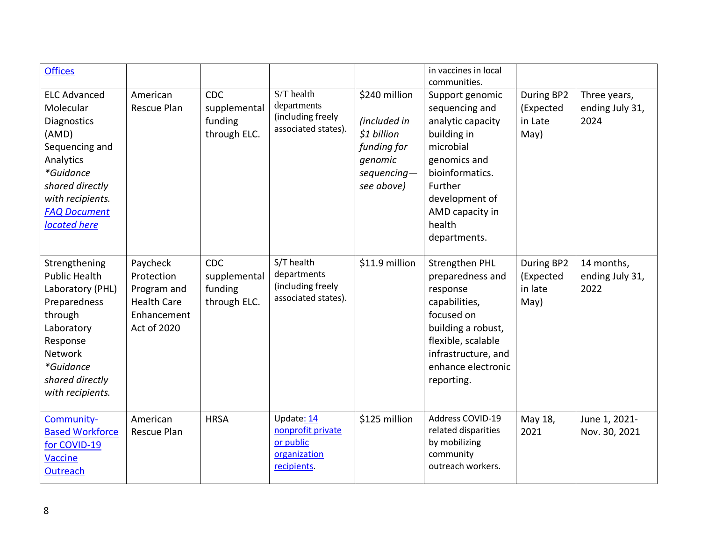| <b>Offices</b>                                                                                                                                                                     |                                                                                           |                                                |                                                                             |                                                                                                       | in vaccines in local<br>communities.                                                                                                                                                            |                                            |                                         |
|------------------------------------------------------------------------------------------------------------------------------------------------------------------------------------|-------------------------------------------------------------------------------------------|------------------------------------------------|-----------------------------------------------------------------------------|-------------------------------------------------------------------------------------------------------|-------------------------------------------------------------------------------------------------------------------------------------------------------------------------------------------------|--------------------------------------------|-----------------------------------------|
| <b>ELC Advanced</b><br>Molecular<br>Diagnostics<br>(AMD)<br>Sequencing and<br>Analytics<br>*Guidance<br>shared directly<br>with recipients.<br><b>FAQ Document</b><br>located here | American<br><b>Rescue Plan</b>                                                            | CDC<br>supplemental<br>funding<br>through ELC. | S/T health<br>departments<br>(including freely<br>associated states).       | \$240 million<br>(included in<br>\$1 billion<br>funding for<br>genomic<br>$sequencing-$<br>see above) | Support genomic<br>sequencing and<br>analytic capacity<br>building in<br>microbial<br>genomics and<br>bioinformatics.<br>Further<br>development of<br>AMD capacity in<br>health<br>departments. | During BP2<br>(Expected<br>in Late<br>May) | Three years,<br>ending July 31,<br>2024 |
| Strengthening<br><b>Public Health</b><br>Laboratory (PHL)<br>Preparedness<br>through<br>Laboratory<br>Response<br>Network<br>*Guidance<br>shared directly<br>with recipients.      | Paycheck<br>Protection<br>Program and<br><b>Health Care</b><br>Enhancement<br>Act of 2020 | CDC<br>supplemental<br>funding<br>through ELC. | S/T health<br>departments<br>(including freely<br>associated states).       | \$11.9 million                                                                                        | <b>Strengthen PHL</b><br>preparedness and<br>response<br>capabilities,<br>focused on<br>building a robust,<br>flexible, scalable<br>infrastructure, and<br>enhance electronic<br>reporting.     | During BP2<br>(Expected<br>in late<br>May) | 14 months,<br>ending July 31,<br>2022   |
| Community-<br><b>Based Workforce</b><br>for COVID-19<br><b>Vaccine</b><br>Outreach                                                                                                 | American<br>Rescue Plan                                                                   | <b>HRSA</b>                                    | Update: 14<br>nonprofit private<br>or public<br>organization<br>recipients. | \$125 million                                                                                         | Address COVID-19<br>related disparities<br>by mobilizing<br>community<br>outreach workers.                                                                                                      | May 18,<br>2021                            | June 1, 2021-<br>Nov. 30, 2021          |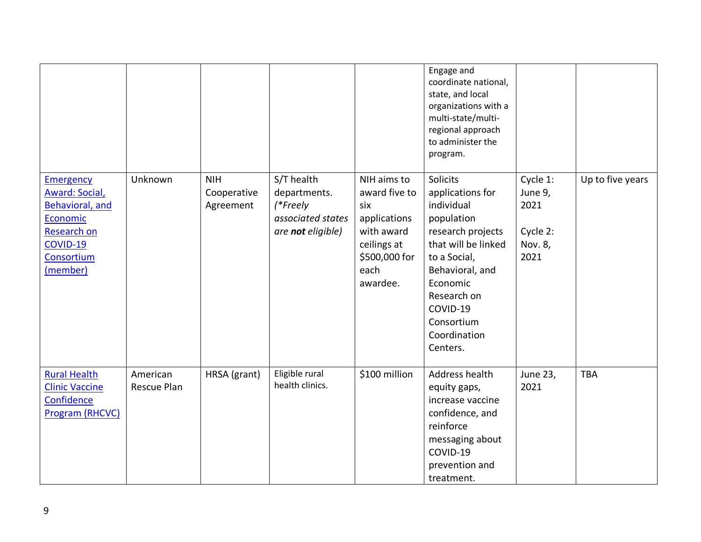|                                                                                                                                             |                         |                                        |                                                                                  |                                                                                                                       | Engage and<br>coordinate national,<br>state, and local<br>organizations with a<br>multi-state/multi-<br>regional approach<br>to administer the<br>program.                                                               |                                                            |                  |
|---------------------------------------------------------------------------------------------------------------------------------------------|-------------------------|----------------------------------------|----------------------------------------------------------------------------------|-----------------------------------------------------------------------------------------------------------------------|--------------------------------------------------------------------------------------------------------------------------------------------------------------------------------------------------------------------------|------------------------------------------------------------|------------------|
| <b>Emergency</b><br><b>Award: Social,</b><br><b>Behavioral, and</b><br>Economic<br><b>Research on</b><br>COVID-19<br>Consortium<br>(member) | Unknown                 | <b>NIH</b><br>Cooperative<br>Agreement | S/T health<br>departments.<br>(*Freely<br>associated states<br>are not eligible) | NIH aims to<br>award five to<br>six<br>applications<br>with award<br>ceilings at<br>\$500,000 for<br>each<br>awardee. | Solicits<br>applications for<br>individual<br>population<br>research projects<br>that will be linked<br>to a Social,<br>Behavioral, and<br>Economic<br>Research on<br>COVID-19<br>Consortium<br>Coordination<br>Centers. | Cycle 1:<br>June 9,<br>2021<br>Cycle 2:<br>Nov. 8,<br>2021 | Up to five years |
| <b>Rural Health</b><br><b>Clinic Vaccine</b><br>Confidence<br>Program (RHCVC)                                                               | American<br>Rescue Plan | HRSA (grant)                           | Eligible rural<br>health clinics.                                                | \$100 million                                                                                                         | Address health<br>equity gaps,<br>increase vaccine<br>confidence, and<br>reinforce<br>messaging about<br>COVID-19<br>prevention and<br>treatment.                                                                        | June 23,<br>2021                                           | <b>TBA</b>       |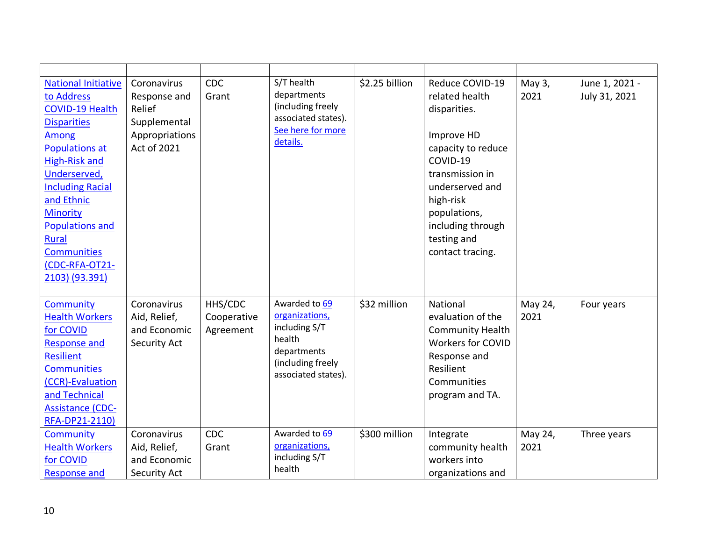| <b>National Initiative</b><br>to Address<br><b>COVID-19 Health</b><br><b>Disparities</b><br>Among<br><b>Populations at</b><br><b>High-Risk and</b><br>Underserved,<br><b>Including Racial</b><br>and Ethnic<br>Minority<br><b>Populations and</b><br><b>Rural</b><br><b>Communities</b><br>(CDC-RFA-OT21-<br>2103) (93.391) | Coronavirus<br>Response and<br>Relief<br>Supplemental<br>Appropriations<br>Act of 2021 | <b>CDC</b><br>Grant                 | S/T health<br>departments<br>(including freely<br>associated states).<br>See here for more<br>details.                | \$2.25 billion | Reduce COVID-19<br>related health<br>disparities.<br>Improve HD<br>capacity to reduce<br>COVID-19<br>transmission in<br>underserved and<br>high-risk<br>populations,<br>including through<br>testing and<br>contact tracing. | May 3,<br>2021  | June 1, 2021 -<br>July 31, 2021 |
|-----------------------------------------------------------------------------------------------------------------------------------------------------------------------------------------------------------------------------------------------------------------------------------------------------------------------------|----------------------------------------------------------------------------------------|-------------------------------------|-----------------------------------------------------------------------------------------------------------------------|----------------|------------------------------------------------------------------------------------------------------------------------------------------------------------------------------------------------------------------------------|-----------------|---------------------------------|
| Community<br><b>Health Workers</b><br>for COVID<br><b>Response and</b><br><b>Resilient</b><br><b>Communities</b><br>(CCR)-Evaluation<br>and Technical<br><b>Assistance (CDC-</b><br>RFA-DP21-2110)                                                                                                                          | Coronavirus<br>Aid, Relief,<br>and Economic<br>Security Act                            | HHS/CDC<br>Cooperative<br>Agreement | Awarded to 69<br>organizations,<br>including S/T<br>health<br>departments<br>(including freely<br>associated states). | \$32 million   | National<br>evaluation of the<br><b>Community Health</b><br><b>Workers for COVID</b><br>Response and<br>Resilient<br>Communities<br>program and TA.                                                                          | May 24,<br>2021 | Four years                      |
| <b>Community</b><br><b>Health Workers</b><br>for COVID<br><b>Response and</b>                                                                                                                                                                                                                                               | Coronavirus<br>Aid, Relief,<br>and Economic<br>Security Act                            | <b>CDC</b><br>Grant                 | Awarded to 69<br>organizations,<br>including S/T<br>health                                                            | \$300 million  | Integrate<br>community health<br>workers into<br>organizations and                                                                                                                                                           | May 24,<br>2021 | Three years                     |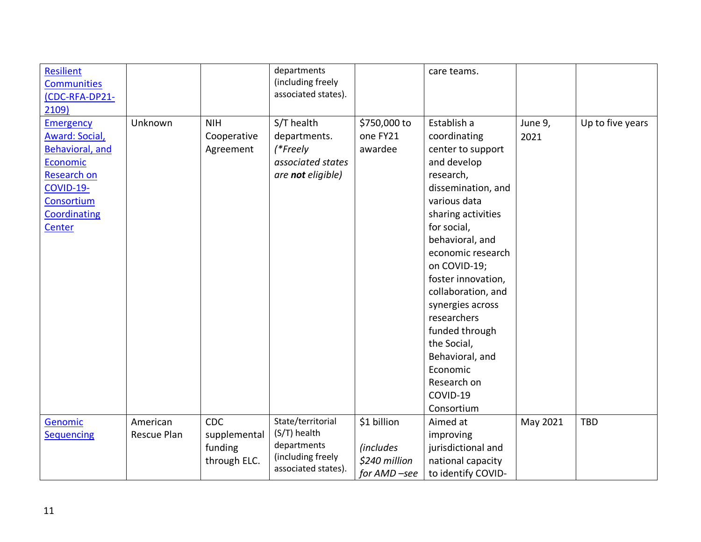| <b>Resilient</b>      |             |              | departments         |                  | care teams.        |          |                  |
|-----------------------|-------------|--------------|---------------------|------------------|--------------------|----------|------------------|
| <b>Communities</b>    |             |              | (including freely   |                  |                    |          |                  |
| (CDC-RFA-DP21-        |             |              | associated states). |                  |                    |          |                  |
| 2109)                 |             |              |                     |                  |                    |          |                  |
| <b>Emergency</b>      | Unknown     | <b>NIH</b>   | S/T health          | \$750,000 to     | Establish a        | June 9,  | Up to five years |
| <b>Award: Social,</b> |             | Cooperative  | departments.        | one FY21         | coordinating       | 2021     |                  |
| Behavioral, and       |             | Agreement    | (*Freely            | awardee          | center to support  |          |                  |
| Economic              |             |              | associated states   |                  | and develop        |          |                  |
| <b>Research on</b>    |             |              | are not eligible)   |                  | research,          |          |                  |
| COVID-19-             |             |              |                     |                  | dissemination, and |          |                  |
| Consortium            |             |              |                     |                  | various data       |          |                  |
| Coordinating          |             |              |                     |                  | sharing activities |          |                  |
| Center                |             |              |                     |                  | for social,        |          |                  |
|                       |             |              |                     |                  | behavioral, and    |          |                  |
|                       |             |              |                     |                  | economic research  |          |                  |
|                       |             |              |                     |                  | on COVID-19;       |          |                  |
|                       |             |              |                     |                  | foster innovation, |          |                  |
|                       |             |              |                     |                  | collaboration, and |          |                  |
|                       |             |              |                     |                  | synergies across   |          |                  |
|                       |             |              |                     |                  | researchers        |          |                  |
|                       |             |              |                     |                  | funded through     |          |                  |
|                       |             |              |                     |                  | the Social,        |          |                  |
|                       |             |              |                     |                  | Behavioral, and    |          |                  |
|                       |             |              |                     |                  | Economic           |          |                  |
|                       |             |              |                     |                  | Research on        |          |                  |
|                       |             |              |                     |                  | COVID-19           |          |                  |
|                       |             |              |                     |                  | Consortium         |          |                  |
| Genomic               | American    | <b>CDC</b>   | State/territorial   | \$1 billion      | Aimed at           | May 2021 | <b>TBD</b>       |
| <b>Sequencing</b>     | Rescue Plan | supplemental | (S/T) health        |                  | improving          |          |                  |
|                       |             | funding      | departments         | <i>(includes</i> | jurisdictional and |          |                  |
|                       |             | through ELC. | (including freely   | \$240 million    | national capacity  |          |                  |
|                       |             |              | associated states). | for AMD-see      | to identify COVID- |          |                  |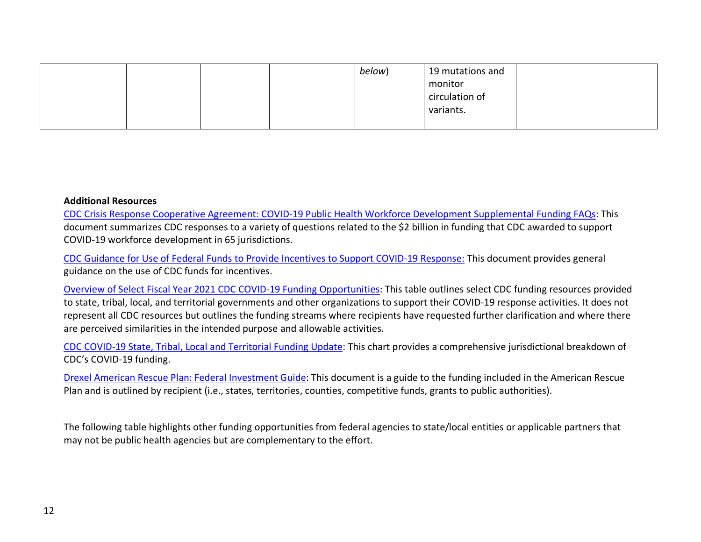|  |  | below) | 19 mutations and |  |
|--|--|--------|------------------|--|
|  |  |        | monitor          |  |
|  |  |        | circulation of   |  |
|  |  |        | variants.        |  |
|  |  |        |                  |  |

#### **Additional Resources**

[CDC Crisis Response Cooperative Agreement: COVID-19 Public Health Workforce Development Supplemental Funding FAQs:](https://www.cdc.gov/cpr/readiness/00_docs/CDC_COVID_Workforce_Development_Funding_FAQs_July2021_FINAL.pdf?ACSTrackingID=USCDC_1377-DM62765&ACSTrackingLabel=Friday%20Update%3A%20July%2030%2C%202021&deliveryName=USCDC_1377-DM62765) This document summarizes CDC responses to a variety of questions related to the \$2 billion in funding that CDC awarded to support COVID-19 workforce development in 65 jurisdictions.

[CDC Guidance for Use of Federal Funds to Provide Incentives to Support COVID-19 Response:](https://www.cdc.gov/cpr/readiness/00_docs/Using_Federal_Funds_to_Support_COVID-19_Response_Incentives_Update_August_12_FINAL.pdf?ACSTrackingID=USCDC_1377-DM64231&ACSTrackingLabel=Friday%20Update%3A%20August%2020%2C%202021&deliveryName=USCDC_1377-DM64231) This document provides general guidance on the use of CDC funds for incentives.

[Overview of Select Fiscal Year 2021 CDC COVID-19 Funding Opportunities:](https://www.cdc.gov/cpr/readiness/00_docs/Crosswalk_CDC_Funding-_Opportunities_August-23-2021_FINAL.pdf) This table outlines select CDC funding resources provided to state, tribal, local, and territorial governments and other organizations to support their COVID-19 response activities. It does not represent all CDC resources but outlines the funding streams where recipients have requested further clarification and where there are perceived similarities in the intended purpose and allowable activities.

[CDC COVID-19 State, Tribal, Local and Territorial Funding Update:](https://www.cdc.gov/budget/fact-sheets/covid-19/funding/index.html) This chart provides a comprehensive jurisdictional breakdown of CDC's COVID-19 funding.

[Drexel American Rescue Plan: Federal Investment Guide:](https://drexel.edu/%7E/media/Files/nowak-lab/American%20Rescue%20Plan%20Federal%20Investment%20Guide%20(1).ashx) This document is a guide to the funding included in the American Rescue Plan and is outlined by recipient (i.e., states, territories, counties, competitive funds, grants to public authorities).

The following table highlights other funding opportunities from federal agencies to state/local entities or applicable partners that may not be public health agencies but are complementary to the effort.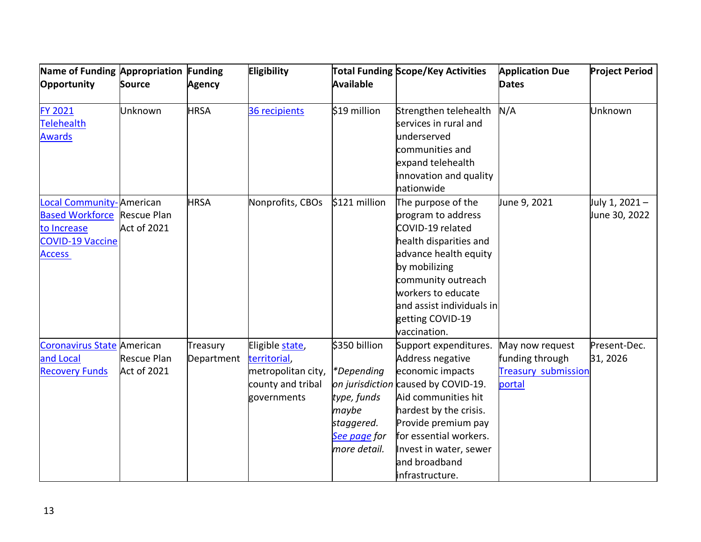| Name of Funding Appropriation Funding<br>Opportunity                                                               | <b>Source</b>                     | <b>Agency</b>          | Eligibility                                                                               | <b>Available</b>                                                                                  | <b>Total Funding Scope/Key Activities</b>                                                                                                                                                                                                                            | <b>Application Due</b><br><b>Dates</b>                                     | <b>Project Period</b>           |
|--------------------------------------------------------------------------------------------------------------------|-----------------------------------|------------------------|-------------------------------------------------------------------------------------------|---------------------------------------------------------------------------------------------------|----------------------------------------------------------------------------------------------------------------------------------------------------------------------------------------------------------------------------------------------------------------------|----------------------------------------------------------------------------|---------------------------------|
| <b>FY 2021</b><br><b>Telehealth</b><br><b>Awards</b>                                                               | Unknown                           | <b>HRSA</b>            | 36 recipients                                                                             | \$19 million                                                                                      | Strengthen telehealth<br>services in rural and<br>underserved<br>communities and<br>expand telehealth<br>innovation and quality<br>nationwide                                                                                                                        | N/A                                                                        | Unknown                         |
| Local Community-American<br><b>Based Workforce Rescue Plan</b><br>to Increase<br>COVID-19 Vaccine<br><b>Access</b> | <b>Act of 2021</b>                | <b>HRSA</b>            | Nonprofits, CBOs                                                                          | \$121 million                                                                                     | The purpose of the<br>program to address<br>COVID-19 related<br>health disparities and<br>advance health equity<br>by mobilizing<br>community outreach<br>workers to educate<br>and assist individuals in<br>getting COVID-19<br>vaccination.                        | June 9, 2021                                                               | July 1, 2021 -<br>June 30, 2022 |
| Coronavirus State American<br>and Local<br><b>Recovery Funds</b>                                                   | <b>Rescue Plan</b><br>Act of 2021 | Treasury<br>Department | Eligible state,<br>territorial,<br>metropolitan city,<br>county and tribal<br>governments | \$350 billion<br>*Depending<br>type, funds<br>maybe<br>staggered.<br>See page for<br>more detail. | Support expenditures.<br>Address negative<br>economic impacts<br>on jurisdiction caused by COVID-19.<br>Aid communities hit<br>hardest by the crisis.<br>Provide premium pay<br>for essential workers.<br>Invest in water, sewer<br>and broadband<br>infrastructure. | May now request<br>funding through<br><b>Treasury submission</b><br>portal | Present-Dec.<br>31, 2026        |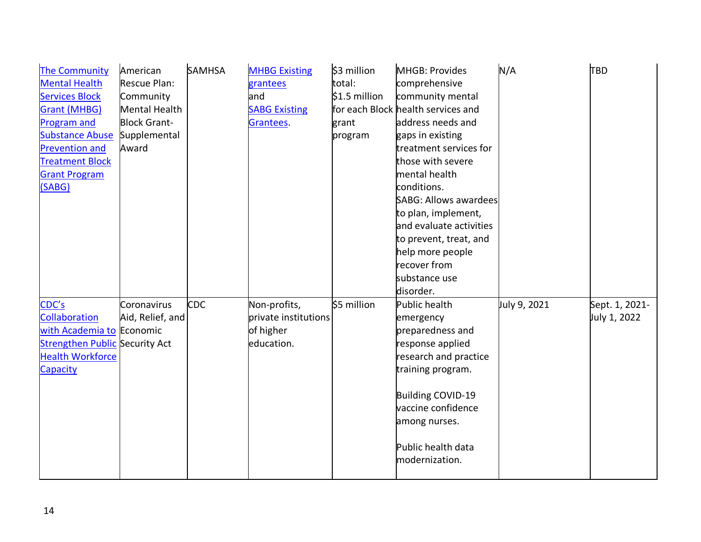| <b>The Community</b>                  | American            | <b>SAMHSA</b> | <b>MHBG Existing</b> | \$3 million    | MHGB: Provides                     | N/A          | <b>TBD</b>     |
|---------------------------------------|---------------------|---------------|----------------------|----------------|------------------------------------|--------------|----------------|
| <b>Mental Health</b>                  | <b>Rescue Plan:</b> |               | grantees             | total:         | comprehensive                      |              |                |
| <b>Services Block</b>                 | Community           |               | and                  | $$1.5$ million | community mental                   |              |                |
| <b>Grant (MHBG)</b>                   | Mental Health       |               | <b>SABG Existing</b> |                | for each Block health services and |              |                |
| <b>Program and</b>                    | <b>Block Grant-</b> |               | Grantees.            | grant          | address needs and                  |              |                |
| <b>Substance Abuse</b>                | Supplemental        |               |                      | program        | gaps in existing                   |              |                |
| <b>Prevention and</b>                 | Award               |               |                      |                | treatment services for             |              |                |
| <b>Treatment Block</b>                |                     |               |                      |                | those with severe                  |              |                |
| <b>Grant Program</b>                  |                     |               |                      |                | mental health                      |              |                |
| (SABG)                                |                     |               |                      |                | conditions.                        |              |                |
|                                       |                     |               |                      |                | <b>SABG: Allows awardees</b>       |              |                |
|                                       |                     |               |                      |                | to plan, implement,                |              |                |
|                                       |                     |               |                      |                | and evaluate activities            |              |                |
|                                       |                     |               |                      |                | to prevent, treat, and             |              |                |
|                                       |                     |               |                      |                | help more people                   |              |                |
|                                       |                     |               |                      |                | recover from                       |              |                |
|                                       |                     |               |                      |                | substance use                      |              |                |
|                                       |                     |               |                      |                | disorder.                          |              |                |
| CDC's                                 | Coronavirus         | <b>CDC</b>    | Non-profits,         | \$5 million    | Public health                      | July 9, 2021 | Sept. 1, 2021- |
| Collaboration                         | Aid, Relief, and    |               | private institutions |                | emergency                          |              | July 1, 2022   |
| with Academia to Economic             |                     |               | of higher            |                | preparedness and                   |              |                |
| <b>Strengthen Public Security Act</b> |                     |               | education.           |                | response applied                   |              |                |
| <b>Health Workforce</b>               |                     |               |                      |                | research and practice              |              |                |
| Capacity                              |                     |               |                      |                | training program.                  |              |                |
|                                       |                     |               |                      |                |                                    |              |                |
|                                       |                     |               |                      |                | Building COVID-19                  |              |                |
|                                       |                     |               |                      |                | vaccine confidence                 |              |                |
|                                       |                     |               |                      |                | among nurses.                      |              |                |
|                                       |                     |               |                      |                |                                    |              |                |
|                                       |                     |               |                      |                | Public health data                 |              |                |
|                                       |                     |               |                      |                | modernization.                     |              |                |
|                                       |                     |               |                      |                |                                    |              |                |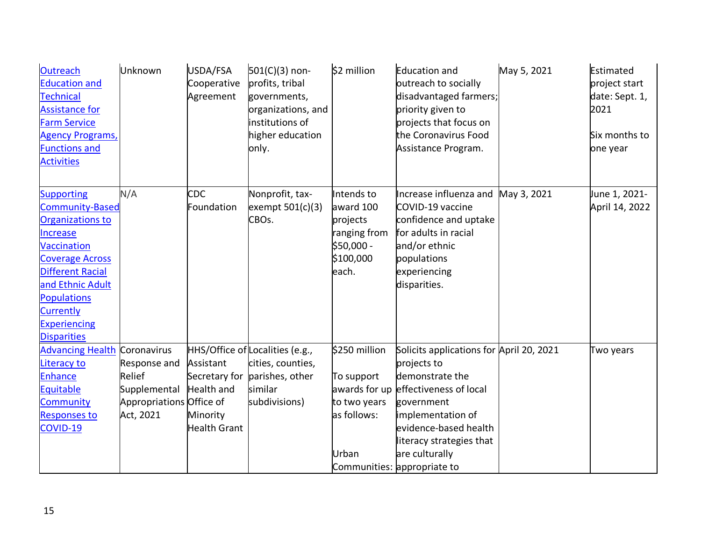| <b>Outreach</b><br><b>Education and</b><br><b>Technical</b><br><b>Assistance for</b><br><b>Farm Service</b><br><b>Agency Programs,</b><br><b>Functions and</b><br><b>Activities</b>                                                                        | Unknown                                                                         | USDA/FSA<br>Cooperative<br>Agreement                                        | $501(C)(3)$ non-<br>profits, tribal<br>governments,<br>organizations, and<br>institutions of<br>higher education<br>only. | \$2 million                                                                             | <b>Education and</b><br>outreach to socially<br>disadvantaged farmers;<br>priority given to<br>projects that focus on<br>the Coronavirus Food<br>Assistance Program.                                                                          | May 5, 2021 | Estimated<br>project start<br>date: Sept. 1,<br>2021<br>Six months to<br>one year |
|------------------------------------------------------------------------------------------------------------------------------------------------------------------------------------------------------------------------------------------------------------|---------------------------------------------------------------------------------|-----------------------------------------------------------------------------|---------------------------------------------------------------------------------------------------------------------------|-----------------------------------------------------------------------------------------|-----------------------------------------------------------------------------------------------------------------------------------------------------------------------------------------------------------------------------------------------|-------------|-----------------------------------------------------------------------------------|
| <b>Supporting</b><br><b>Community-Based</b><br>Organizations to<br><b>Increase</b><br>Vaccination<br><b>Coverage Across</b><br><b>Different Racial</b><br>and Ethnic Adult<br><b>Populations</b><br>Currently<br><b>Experiencing</b><br><b>Disparities</b> | N/A                                                                             | CDC<br>Foundation                                                           | Nonprofit, tax-<br>exempt $501(c)(3)$<br>CBOs.                                                                            | Intends to<br>award 100<br>projects<br>ranging from<br>\$50,000 -<br>\$100,000<br>each. | Increase influenza and<br>COVID-19 vaccine<br>confidence and uptake<br>for adults in racial<br>and/or ethnic<br>populations<br>experiencing<br>disparities.                                                                                   | May 3, 2021 | June 1, 2021-<br>April 14, 2022                                                   |
| <b>Advancing Health Coronavirus</b><br>Literacy to<br><b>Enhance</b><br>Equitable<br>Community<br><b>Responses to</b><br>COVID-19                                                                                                                          | Response and<br>Relief<br>Supplemental<br>Appropriations Office of<br>Act, 2021 | Assistant<br>Secretary for<br>Health and<br>Minority<br><b>Health Grant</b> | HHS/Office of Localities (e.g.,<br>cities, counties,<br>parishes, other<br>similar<br>subdivisions)                       | \$250 million<br>To support<br>awards for up<br>to two years<br>as follows:<br>Urban    | Solicits applications for April 20, 2021<br>projects to<br>demonstrate the<br>effectiveness of local<br>government<br>implementation of<br>evidence-based health<br>literacy strategies that<br>are culturally<br>Communities: appropriate to |             | Two years                                                                         |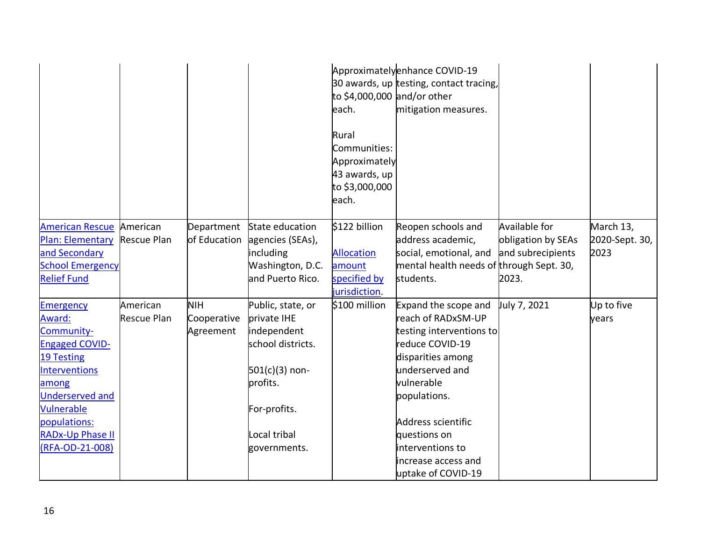|                          |                    |              |                   | to \$4,000,000 and/or other<br>each.<br>Rural<br>Communities:<br>Approximately<br>43 awards, up<br>to \$3,000,000<br>each. | Approximatelyenhance COVID-19<br>30 awards, up testing, contact tracing,<br>mitigation measures. |                    |                |
|--------------------------|--------------------|--------------|-------------------|----------------------------------------------------------------------------------------------------------------------------|--------------------------------------------------------------------------------------------------|--------------------|----------------|
| American Rescue American |                    | Department   | State education   | \$122 billion                                                                                                              | Reopen schools and                                                                               | Available for      | March 13,      |
| Plan: Elementary         | <b>Rescue Plan</b> | of Education | agencies (SEAs),  |                                                                                                                            | address academic,                                                                                | obligation by SEAs | 2020-Sept. 30, |
| and Secondary            |                    |              | including         | <b>Allocation</b>                                                                                                          | social, emotional, and                                                                           | and subrecipients  | 2023           |
| <b>School Emergency</b>  |                    |              | Washington, D.C.  | amount                                                                                                                     | mental health needs of through Sept. 30,                                                         |                    |                |
| <b>Relief Fund</b>       |                    |              | and Puerto Rico.  | specified by                                                                                                               | students.                                                                                        | 2023.              |                |
|                          |                    |              |                   | jurisdiction.                                                                                                              |                                                                                                  |                    |                |
| <b>Emergency</b>         | American           | <b>NIH</b>   | Public, state, or | \$100 million                                                                                                              | Expand the scope and                                                                             | July 7, 2021       | Up to five     |
| Award:                   | <b>Rescue Plan</b> | Cooperative  | private IHE       |                                                                                                                            | reach of RADxSM-UP                                                                               |                    | years          |
| Community-               |                    | Agreement    | independent       |                                                                                                                            | testing interventions to                                                                         |                    |                |
| <b>Engaged COVID-</b>    |                    |              | school districts. |                                                                                                                            | reduce COVID-19                                                                                  |                    |                |
| <b>19 Testing</b>        |                    |              |                   |                                                                                                                            | disparities among                                                                                |                    |                |
| <b>Interventions</b>     |                    |              | $501(c)(3)$ non-  |                                                                                                                            | underserved and                                                                                  |                    |                |
| among                    |                    |              | profits.          |                                                                                                                            | vulnerable                                                                                       |                    |                |
| <b>Underserved and</b>   |                    |              |                   |                                                                                                                            | populations.                                                                                     |                    |                |
| Vulnerable               |                    |              | For-profits.      |                                                                                                                            |                                                                                                  |                    |                |
| populations:             |                    |              |                   |                                                                                                                            | Address scientific                                                                               |                    |                |
| <b>RADx-Up Phase II</b>  |                    |              | Local tribal      |                                                                                                                            | questions on                                                                                     |                    |                |
| (RFA-OD-21-008)          |                    |              | governments.      |                                                                                                                            | interventions to                                                                                 |                    |                |
|                          |                    |              |                   |                                                                                                                            | increase access and                                                                              |                    |                |
|                          |                    |              |                   |                                                                                                                            | uptake of COVID-19                                                                               |                    |                |